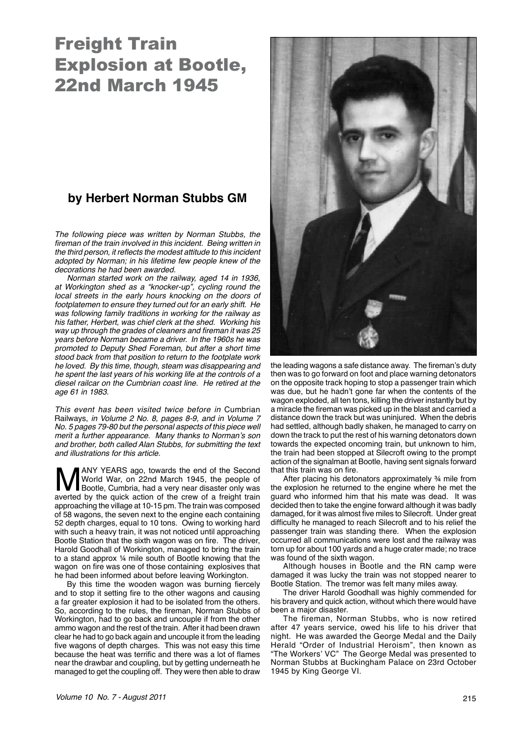## Freight Train Explosion at Bootle, 22nd March 1945

## **by Herbert Norman Stubbs GM**

The following piece was written by Norman Stubbs, the fireman of the train involved in this incident. Being written in the third person, it reflects the modest attitude to this incident adopted by Norman; in his lifetime few people knew of the decorations he had been awarded.

Norman started work on the railway, aged 14 in 1936, at Workington shed as a "knocker-up", cycling round the local streets in the early hours knocking on the doors of footplatemen to ensure they turned out for an early shift. He was following family traditions in working for the railway as his father, Herbert, was chief clerk at the shed. Working his way up through the grades of cleaners and fireman it was 25 years before Norman became a driver. In the 1960s he was promoted to Deputy Shed Foreman, but after a short time stood back from that position to return to the footplate work he loved. By this time, though, steam was disappearing and he spent the last years of his working life at the controls of a diesel railcar on the Cumbrian coast line. He retired at the age 61 in 1983.

This event has been visited twice before in Cumbrian Railways, in Volume 2 No. 8, pages 8-9, and in Volume 7 No. 5 pages 79-80 but the personal aspects of this piece well merit a further appearance. Many thanks to Norman's son and brother, both called Alan Stubbs, for submitting the text and illustrations for this article.

MANY YEARS ago, towards the end of the Second World War, on 22nd March 1945, the people of Bootle, Cumbria, had a very near disaster only was averted by the quick action of the crew of a freight train World War, on 22nd March 1945, the people of Bootle, Cumbria, had a very near disaster only was averted by the quick action of the crew of a freight train approaching the village at 10-15 pm. The train was composed of 58 wagons, the seven next to the engine each containing 52 depth charges, equal to 10 tons. Owing to working hard with such a heavy train, it was not noticed until approaching Bootle Station that the sixth wagon was on fire. The driver, Harold Goodhall of Workington, managed to bring the train to a stand approx ¼ mile south of Bootle knowing that the wagon on fire was one of those containing explosives that he had been informed about before leaving Workington.

By this time the wooden wagon was burning fiercely and to stop it setting fire to the other wagons and causing a far greater explosion it had to be isolated from the others. So, according to the rules, the fireman, Norman Stubbs of Workington, had to go back and uncouple if from the other ammo wagon and the rest of the train. After it had been drawn clear he had to go back again and uncouple it from the leading five wagons of depth charges. This was not easy this time because the heat was terrific and there was a lot of flames near the drawbar and coupling, but by getting underneath he managed to get the coupling off. They were then able to draw



the leading wagons a safe distance away. The fireman's duty then was to go forward on foot and place warning detonators on the opposite track hoping to stop a passenger train which was due, but he hadn't gone far when the contents of the wagon exploded, all ten tons, killing the driver instantly but by a miracle the fireman was picked up in the blast and carried a distance down the track but was uninjured. When the debris had settled, although badly shaken, he managed to carry on down the track to put the rest of his warning detonators down towards the expected oncoming train, but unknown to him, the train had been stopped at Silecroft owing to the prompt action of the signalman at Bootle, having sent signals forward that this train was on fire.

After placing his detonators approximately ¾ mile from the explosion he returned to the engine where he met the guard who informed him that his mate was dead. It was decided then to take the engine forward although it was badly damaged, for it was almost five miles to Silecroft. Under great difficulty he managed to reach Silecroft and to his relief the passenger train was standing there. When the explosion occurred all communications were lost and the railway was torn up for about 100 yards and a huge crater made; no trace was found of the sixth wagon.

Although houses in Bootle and the RN camp were damaged it was lucky the train was not stopped nearer to Bootle Station. The tremor was felt many miles away.

 The driver Harold Goodhall was highly commended for his bravery and quick action, without which there would have been a major disaster.

 The fireman, Norman Stubbs, who is now retired after 47 years service, owed his life to his driver that night. He was awarded the George Medal and the Daily Herald "Order of Industrial Heroism", then known as "The Workers' VC" The George Medal was presented to Norman Stubbs at Buckingham Palace on 23rd October 1945 by King George VI.